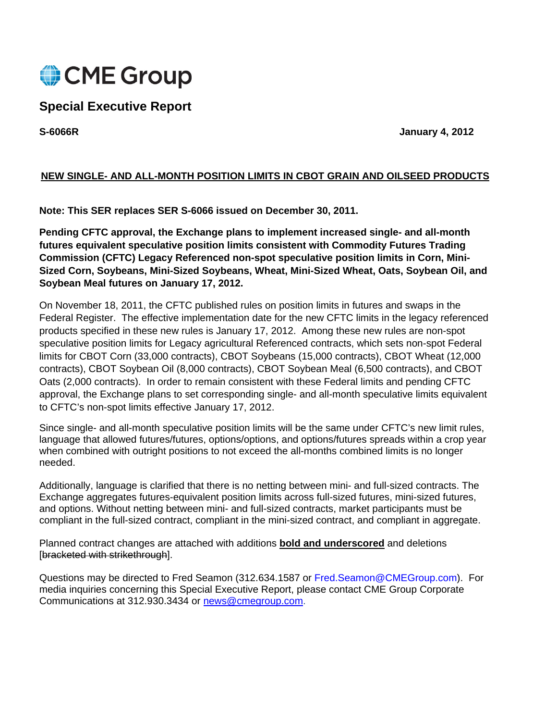

# **Special Executive Report**

**S-6066R January 4, 2012** 

# **NEW SINGLE- AND ALL-MONTH POSITION LIMITS IN CBOT GRAIN AND OILSEED PRODUCTS**

**Note: This SER replaces SER S-6066 issued on December 30, 2011.** 

**Pending CFTC approval, the Exchange plans to implement increased single- and all-month futures equivalent speculative position limits consistent with Commodity Futures Trading Commission (CFTC) Legacy Referenced non-spot speculative position limits in Corn, Mini-Sized Corn, Soybeans, Mini-Sized Soybeans, Wheat, Mini-Sized Wheat, Oats, Soybean Oil, and Soybean Meal futures on January 17, 2012.** 

On November 18, 2011, the CFTC published rules on position limits in futures and swaps in the Federal Register. The effective implementation date for the new CFTC limits in the legacy referenced products specified in these new rules is January 17, 2012. Among these new rules are non-spot speculative position limits for Legacy agricultural Referenced contracts, which sets non-spot Federal limits for CBOT Corn (33,000 contracts), CBOT Soybeans (15,000 contracts), CBOT Wheat (12,000 contracts), CBOT Soybean Oil (8,000 contracts), CBOT Soybean Meal (6,500 contracts), and CBOT Oats (2,000 contracts). In order to remain consistent with these Federal limits and pending CFTC approval, the Exchange plans to set corresponding single- and all-month speculative limits equivalent to CFTC's non-spot limits effective January 17, 2012.

Since single- and all-month speculative position limits will be the same under CFTC's new limit rules, language that allowed futures/futures, options/options, and options/futures spreads within a crop year when combined with outright positions to not exceed the all-months combined limits is no longer needed.

Additionally, language is clarified that there is no netting between mini- and full-sized contracts. The Exchange aggregates futures-equivalent position limits across full-sized futures, mini-sized futures, and options. Without netting between mini- and full-sized contracts, market participants must be compliant in the full-sized contract, compliant in the mini-sized contract, and compliant in aggregate.

Planned contract changes are attached with additions **bold and underscored** and deletions [bracketed with strikethrough].

Questions may be directed to Fred Seamon (312.634.1587 or Fred.Seamon@CMEGroup.com). For media inquiries concerning this Special Executive Report, please contact CME Group Corporate Communications at 312.930.3434 or [news@cmegroup.com](mailto:news@cmegroup.com).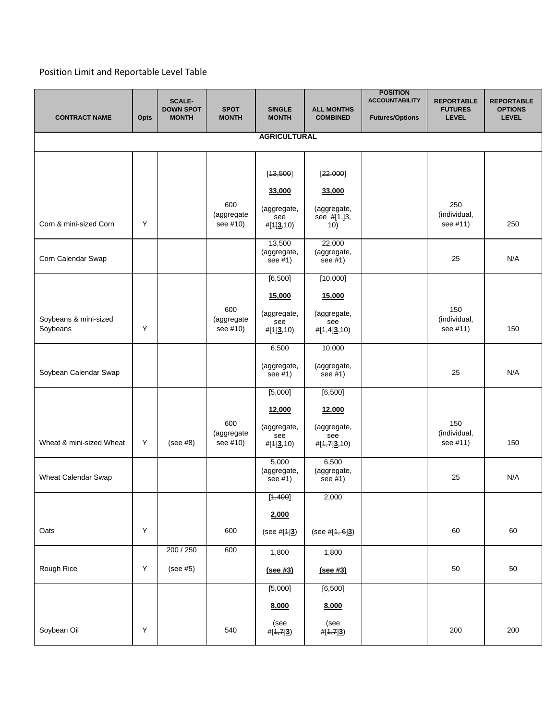# Position Limit and Reportable Level Table

|                          |      | <b>SCALE-</b><br><b>DOWN SPOT</b> | <b>SPOT</b>       | <b>SINGLE</b>          | <b>ALL MONTHS</b>          | <b>POSITION</b><br><b>ACCOUNTABILITY</b> | <b>REPORTABLE</b><br><b>FUTURES</b> | <b>REPORTABLE</b><br><b>OPTIONS</b> |  |  |  |  |
|--------------------------|------|-----------------------------------|-------------------|------------------------|----------------------------|------------------------------------------|-------------------------------------|-------------------------------------|--|--|--|--|
| <b>CONTRACT NAME</b>     | Opts | <b>MONTH</b>                      | <b>MONTH</b>      | <b>MONTH</b>           | <b>COMBINED</b>            | <b>Futures/Options</b>                   | <b>LEVEL</b>                        | <b>LEVEL</b>                        |  |  |  |  |
| <b>AGRICULTURAL</b>      |      |                                   |                   |                        |                            |                                          |                                     |                                     |  |  |  |  |
|                          |      |                                   |                   |                        |                            |                                          |                                     |                                     |  |  |  |  |
|                          |      |                                   |                   | [13, 500]              | [22,000]                   |                                          |                                     |                                     |  |  |  |  |
|                          |      |                                   |                   | 33,000                 | 33,000                     |                                          |                                     |                                     |  |  |  |  |
|                          |      |                                   | 600<br>(aggregate | (aggregate,<br>see     | (aggregate,<br>see #[4,]3, |                                          | 250<br>(individual,                 |                                     |  |  |  |  |
| Corn & mini-sized Corn   | Y    |                                   | see #10)          | #[1]3,10)              | 10)                        |                                          | see #11)                            | 250                                 |  |  |  |  |
|                          |      |                                   |                   | 13,500<br>(aggregate,  | 22,000<br>(aggregate,      |                                          |                                     |                                     |  |  |  |  |
| Corn Calendar Swap       |      |                                   |                   | see $#1)$              | see #1)                    |                                          | 25                                  | N/A                                 |  |  |  |  |
|                          |      |                                   |                   | [6, 500]               | [40,000]                   |                                          |                                     |                                     |  |  |  |  |
|                          |      |                                   |                   | 15,000                 | 15,000                     |                                          |                                     |                                     |  |  |  |  |
| Soybeans & mini-sized    |      |                                   | 600<br>(aggregate | (aggregate,<br>see     | (aggregate,<br>see         |                                          | 150<br>(individual,                 |                                     |  |  |  |  |
| Soybeans                 | Υ    |                                   | see #10)          | #[1]3,10)              | #[4,4]3,10)                |                                          | see #11)                            | 150                                 |  |  |  |  |
|                          |      |                                   |                   | 6,500                  | 10,000                     |                                          |                                     |                                     |  |  |  |  |
| Soybean Calendar Swap    |      |                                   |                   | (aggregate,<br>see #1) | (aggregate,<br>see #1)     |                                          | 25                                  | N/A                                 |  |  |  |  |
|                          |      |                                   |                   | [5,000]                | [6, 500]                   |                                          |                                     |                                     |  |  |  |  |
|                          |      |                                   |                   | 12,000                 | 12,000                     |                                          |                                     |                                     |  |  |  |  |
|                          |      |                                   | 600<br>(aggregate | (aggregate,<br>see     | (aggregate,<br>see         |                                          | 150<br>(individual,                 |                                     |  |  |  |  |
| Wheat & mini-sized Wheat | Υ    | (see #8)                          | see #10)          | #[1]3,10)              | $\#[4,7]3,10)$             |                                          | see #11)                            | 150                                 |  |  |  |  |
|                          |      |                                   |                   | 5,000<br>(aggregate,   | 6,500<br>(aggregate,       |                                          |                                     |                                     |  |  |  |  |
| Wheat Calendar Swap      |      |                                   |                   | see #1)                | see #1)                    |                                          | 25                                  | N/A                                 |  |  |  |  |
|                          |      |                                   |                   | [ <del>1,400</del> ]   | 2,000                      |                                          |                                     |                                     |  |  |  |  |
|                          |      |                                   |                   | 2,000                  |                            |                                          |                                     |                                     |  |  |  |  |
| Oats                     | Υ    |                                   | 600               | (see #[1]3)            | (see $\#[4, 6]3$ )         |                                          | 60                                  | 60                                  |  |  |  |  |
|                          |      | 200 / 250                         | 600               | 1,800                  | 1,800                      |                                          |                                     |                                     |  |  |  |  |
| Rough Rice               | Υ    | (see #5)                          |                   | (see #3)               | (see #3)                   |                                          | 50                                  | 50                                  |  |  |  |  |
|                          |      |                                   |                   | [6,000]                | [6, 500]                   |                                          |                                     |                                     |  |  |  |  |
|                          |      |                                   |                   | 8,000                  | 8,000                      |                                          |                                     |                                     |  |  |  |  |
| Soybean Oil              | Υ    |                                   | 540               | (see<br>#[1,7]3        | (see<br>#[1,7]3)           |                                          | 200                                 | 200                                 |  |  |  |  |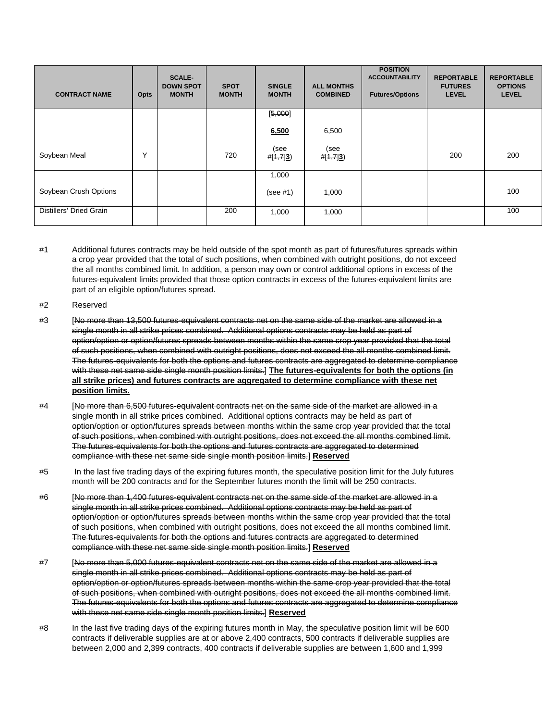| <b>CONTRACT NAME</b>    | Opts | <b>SCALE-</b><br><b>DOWN SPOT</b><br><b>MONTH</b> | <b>SPOT</b><br><b>MONTH</b> | <b>SINGLE</b><br><b>MONTH</b> | <b>ALL MONTHS</b><br><b>COMBINED</b> | <b>POSITION</b><br><b>ACCOUNTABILITY</b><br><b>Futures/Options</b> | <b>REPORTABLE</b><br><b>FUTURES</b><br><b>LEVEL</b> | <b>REPORTABLE</b><br><b>OPTIONS</b><br><b>LEVEL</b> |
|-------------------------|------|---------------------------------------------------|-----------------------------|-------------------------------|--------------------------------------|--------------------------------------------------------------------|-----------------------------------------------------|-----------------------------------------------------|
|                         |      |                                                   |                             | [5,000]                       |                                      |                                                                    |                                                     |                                                     |
|                         |      |                                                   |                             | 6,500                         | 6,500                                |                                                                    |                                                     |                                                     |
| Soybean Meal            | Υ    |                                                   | 720                         | (see<br>$\#[4,7]3$            | (see<br>#[4,7]3)                     |                                                                    | 200                                                 | 200                                                 |
|                         |      |                                                   |                             | 1,000                         |                                      |                                                                    |                                                     |                                                     |
| Soybean Crush Options   |      |                                                   |                             | (see #1)                      | 1,000                                |                                                                    |                                                     | 100                                                 |
| Distillers' Dried Grain |      |                                                   | 200                         | 1,000                         | 1,000                                |                                                                    |                                                     | 100                                                 |

#1 Additional futures contracts may be held outside of the spot month as part of futures/futures spreads within a crop year provided that the total of such positions, when combined with outright positions, do not exceed the all months combined limit. In addition, a person may own or control additional options in excess of the futures-equivalent limits provided that those option contracts in excess of the futures-equivalent limits are part of an eligible option/futures spread.

- #2 Reserved
- #3 [No more than 13,500 futures-equivalent contracts net on the same side of the market are allowed in a single month in all strike prices combined. Additional options contracts may be held as part of option/option or option/futures spreads between months within the same crop year provided that the total of such positions, when combined with outright positions, does not exceed the all months combined limit. The futures-equivalents for both the options and futures contracts are aggregated to determine compliance with these net same side single month position limits.] **The futures-equivalents for both the options (in all strike prices) and futures contracts are aggregated to determine compliance with these net position limits.**
- #4 [No more than 6,500 futures-equivalent contracts net on the same side of the market are allowed in a single month in all strike prices combined. Additional options contracts may be held as part of option/option or option/futures spreads between months within the same crop year provided that the total of such positions, when combined with outright positions, does not exceed the all months combined limit. The futures-equivalents for both the options and futures contracts are aggregated to determined compliance with these net same side single month position limits.] **Reserved**
- #5 In the last five trading days of the expiring futures month, the speculative position limit for the July futures month will be 200 contracts and for the September futures month the limit will be 250 contracts.
- #6 [No more than 1,400 futures-equivalent contracts net on the same side of the market are allowed in a single month in all strike prices combined. Additional options contracts may be held as part of option/option or option/futures spreads between months within the same crop year provided that the total of such positions, when combined with outright positions, does not exceed the all months combined limit. The futures-equivalents for both the options and futures contracts are aggregated to determined compliance with these net same side single month position limits.] **Reserved**
- #7 [No more than 5,000 futures-equivalent contracts net on the same side of the market are allowed in a single month in all strike prices combined. Additional options contracts may be held as part of option/option or option/futures spreads between months within the same crop year provided that the total of such positions, when combined with outright positions, does not exceed the all months combined limit. The futures-equivalents for both the options and futures contracts are aggregated to determine compliance with these net same side single month position limits.] **Reserved**
- #8 In the last five trading days of the expiring futures month in May, the speculative position limit will be 600 contracts if deliverable supplies are at or above 2,400 contracts, 500 contracts if deliverable supplies are between 2,000 and 2,399 contracts, 400 contracts if deliverable supplies are between 1,600 and 1,999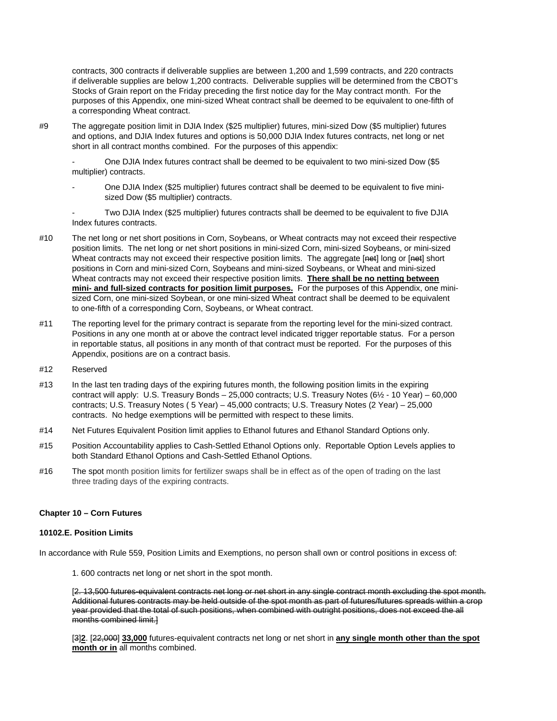contracts, 300 contracts if deliverable supplies are between 1,200 and 1,599 contracts, and 220 contracts if deliverable supplies are below 1,200 contracts. Deliverable supplies will be determined from the CBOT's Stocks of Grain report on the Friday preceding the first notice day for the May contract month. For the purposes of this Appendix, one mini-sized Wheat contract shall be deemed to be equivalent to one-fifth of a corresponding Wheat contract.

#9 The aggregate position limit in DJIA Index (\$25 multiplier) futures, mini-sized Dow (\$5 multiplier) futures and options, and DJIA Index futures and options is 50,000 DJIA Index futures contracts, net long or net short in all contract months combined. For the purposes of this appendix:

- One DJIA Index futures contract shall be deemed to be equivalent to two mini-sized Dow (\$5 multiplier) contracts.

- One DJIA Index (\$25 multiplier) futures contract shall be deemed to be equivalent to five minisized Dow (\$5 multiplier) contracts.

- Two DJIA Index (\$25 multiplier) futures contracts shall be deemed to be equivalent to five DJIA Index futures contracts.

- #10 The net long or net short positions in Corn, Soybeans, or Wheat contracts may not exceed their respective position limits. The net long or net short positions in mini-sized Corn, mini-sized Soybeans, or mini-sized Wheat contracts may not exceed their respective position limits. The aggregate [net] long or [net] short positions in Corn and mini-sized Corn, Soybeans and mini-sized Soybeans, or Wheat and mini-sized Wheat contracts may not exceed their respective position limits. **There shall be no netting between mini- and full-sized contracts for position limit purposes.** For the purposes of this Appendix, one minisized Corn, one mini-sized Soybean, or one mini-sized Wheat contract shall be deemed to be equivalent to one-fifth of a corresponding Corn, Soybeans, or Wheat contract.
- #11 The reporting level for the primary contract is separate from the reporting level for the mini-sized contract. Positions in any one month at or above the contract level indicated trigger reportable status. For a person in reportable status, all positions in any month of that contract must be reported. For the purposes of this Appendix, positions are on a contract basis.
- #12 Reserved
- #13 In the last ten trading days of the expiring futures month, the following position limits in the expiring contract will apply: U.S. Treasury Bonds – 25,000 contracts; U.S. Treasury Notes (6½ - 10 Year) – 60,000 contracts; U.S. Treasury Notes ( 5 Year) – 45,000 contracts; U.S. Treasury Notes (2 Year) – 25,000 contracts. No hedge exemptions will be permitted with respect to these limits.
- #14 Net Futures Equivalent Position limit applies to Ethanol futures and Ethanol Standard Options only.
- #15 Position Accountability applies to Cash-Settled Ethanol Options only. Reportable Option Levels applies to both Standard Ethanol Options and Cash-Settled Ethanol Options.
- #16 The spot month position limits for fertilizer swaps shall be in effect as of the open of trading on the last three trading days of the expiring contracts.

#### **Chapter 10 – Corn Futures**

#### **10102.E. Position Limits**

In accordance with Rule 559, Position Limits and Exemptions, no person shall own or control positions in excess of:

1. 600 contracts net long or net short in the spot month.

[2. 13,500 futures-equivalent contracts net long or net short in any single contract month excluding the spot month. Additional futures contracts may be held outside of the spot month as part of futures/futures spreads within a crop year provided that the total of such positions, when combined with outright positions, does not exceed the all months combined limit.]

[3]**2**. [22,000] **33,000** futures-equivalent contracts net long or net short in **any single month other than the spot month or in** all months combined.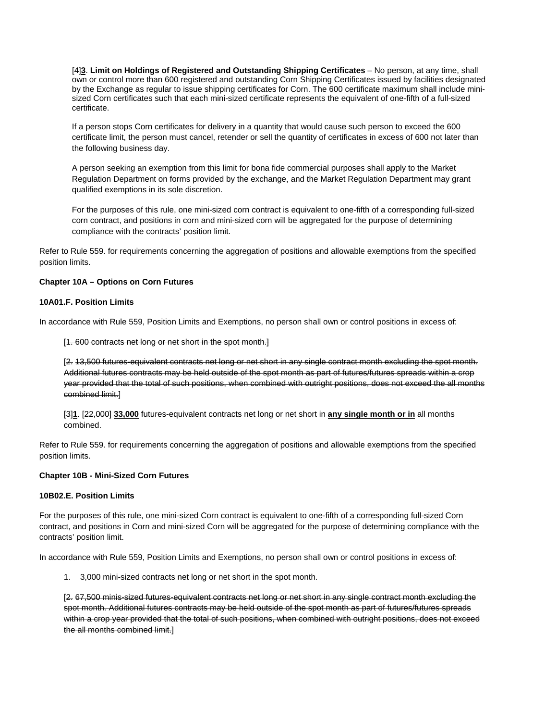[4]<sup>3</sup>. Limit on Holdings of Registered and Outstanding Shipping Certificates - No person, at any time, shall own or control more than 600 registered and outstanding Corn Shipping Certificates issued by facilities designated by the Exchange as regular to issue shipping certificates for Corn. The 600 certificate maximum shall include minisized Corn certificates such that each mini-sized certificate represents the equivalent of one-fifth of a full-sized certificate.

If a person stops Corn certificates for delivery in a quantity that would cause such person to exceed the 600 certificate limit, the person must cancel, retender or sell the quantity of certificates in excess of 600 not later than the following business day.

A person seeking an exemption from this limit for bona fide commercial purposes shall apply to the Market Regulation Department on forms provided by the exchange, and the Market Regulation Department may grant qualified exemptions in its sole discretion.

For the purposes of this rule, one mini-sized corn contract is equivalent to one-fifth of a corresponding full-sized corn contract, and positions in corn and mini-sized corn will be aggregated for the purpose of determining compliance with the contracts' position limit.

Refer to Rule 559. for requirements concerning the aggregation of positions and allowable exemptions from the specified position limits.

## **Chapter 10A – Options on Corn Futures**

#### **10A01.F. Position Limits**

In accordance with Rule 559, Position Limits and Exemptions, no person shall own or control positions in excess of:

#### [1. 600 contracts net long or net short in the spot month.]

[2. 13,500 futures-equivalent contracts net long or net short in any single contract month excluding the spot month. Additional futures contracts may be held outside of the spot month as part of futures/futures spreads within a crop year provided that the total of such positions, when combined with outright positions, does not exceed the all months combined limit.]

[3]**1**. [22,000] **33,000** futures-equivalent contracts net long or net short in **any single month or in** all months combined.

Refer to Rule 559. for requirements concerning the aggregation of positions and allowable exemptions from the specified position limits.

#### **Chapter 10B - Mini-Sized Corn Futures**

# **10B02.E. Position Limits**

For the purposes of this rule, one mini-sized Corn contract is equivalent to one-fifth of a corresponding full-sized Corn contract, and positions in Corn and mini-sized Corn will be aggregated for the purpose of determining compliance with the contracts' position limit.

In accordance with Rule 559, Position Limits and Exemptions, no person shall own or control positions in excess of:

1. 3,000 mini-sized contracts net long or net short in the spot month.

[2. 67,500 minis-sized futures-equivalent contracts net long or net short in any single contract month excluding the spot month. Additional futures contracts may be held outside of the spot month as part of futures/futures spreads within a crop year provided that the total of such positions, when combined with outright positions, does not exceed the all months combined limit.]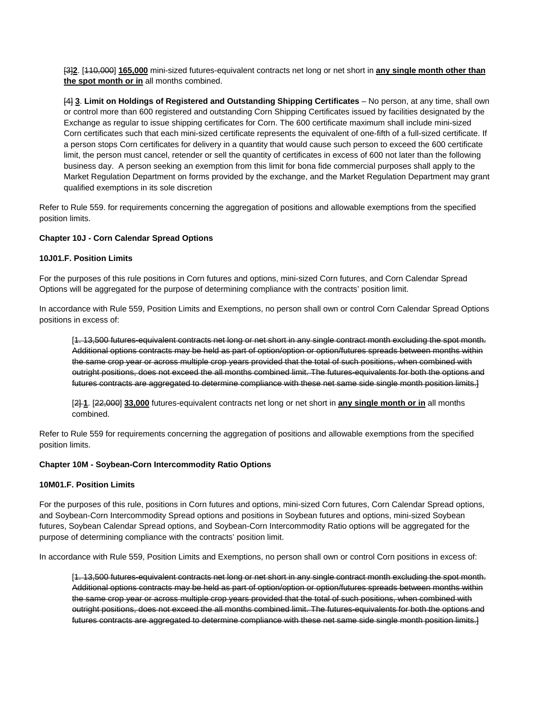[3]**2**. [110,000] **165,000** mini-sized futures-equivalent contracts net long or net short in **any single month other than the spot month or in** all months combined.

[4] **3**. **Limit on Holdings of Registered and Outstanding Shipping Certificates** – No person, at any time, shall own or control more than 600 registered and outstanding Corn Shipping Certificates issued by facilities designated by the Exchange as regular to issue shipping certificates for Corn. The 600 certificate maximum shall include mini-sized Corn certificates such that each mini-sized certificate represents the equivalent of one-fifth of a full-sized certificate. If a person stops Corn certificates for delivery in a quantity that would cause such person to exceed the 600 certificate limit, the person must cancel, retender or sell the quantity of certificates in excess of 600 not later than the following business day. A person seeking an exemption from this limit for bona fide commercial purposes shall apply to the Market Regulation Department on forms provided by the exchange, and the Market Regulation Department may grant qualified exemptions in its sole discretion

Refer to Rule 559. for requirements concerning the aggregation of positions and allowable exemptions from the specified position limits.

# **Chapter 10J - Corn Calendar Spread Options**

## **10J01.F. Position Limits**

For the purposes of this rule positions in Corn futures and options, mini-sized Corn futures, and Corn Calendar Spread Options will be aggregated for the purpose of determining compliance with the contracts' position limit.

In accordance with Rule 559, Position Limits and Exemptions, no person shall own or control Corn Calendar Spread Options positions in excess of:

[1. 13,500 futures-equivalent contracts net long or net short in any single contract month excluding the spot month. Additional options contracts may be held as part of option/option or option/futures spreads between months within the same crop year or across multiple crop years provided that the total of such positions, when combined with outright positions, does not exceed the all months combined limit. The futures-equivalents for both the options and futures contracts are aggregated to determine compliance with these net same side single month position limits.]

[2] **1**. [22,000] **33,000** futures-equivalent contracts net long or net short in **any single month or in** all months combined.

Refer to Rule 559 for requirements concerning the aggregation of positions and allowable exemptions from the specified position limits.

# **Chapter 10M - Soybean-Corn Intercommodity Ratio Options**

## **10M01.F. Position Limits**

For the purposes of this rule, positions in Corn futures and options, mini-sized Corn futures, Corn Calendar Spread options, and Soybean-Corn Intercommodity Spread options and positions in Soybean futures and options, mini-sized Soybean futures, Soybean Calendar Spread options, and Soybean-Corn Intercommodity Ratio options will be aggregated for the purpose of determining compliance with the contracts' position limit.

In accordance with Rule 559, Position Limits and Exemptions, no person shall own or control Corn positions in excess of:

[1. 13,500 futures-equivalent contracts net long or net short in any single contract month excluding the spot month. Additional options contracts may be held as part of option/option or option/futures spreads between months within the same crop year or across multiple crop years provided that the total of such positions, when combined with outright positions, does not exceed the all months combined limit. The futures-equivalents for both the options and futures contracts are aggregated to determine compliance with these net same side single month position limits.]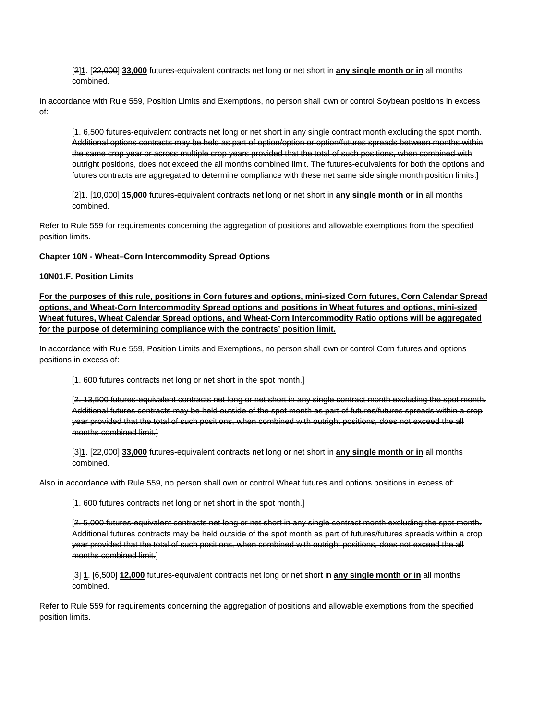[2]**1**. [22,000] **33,000** futures-equivalent contracts net long or net short in **any single month or in** all months combined.

In accordance with Rule 559, Position Limits and Exemptions, no person shall own or control Soybean positions in excess of:

[1. 6,500 futures-equivalent contracts net long or net short in any single contract month excluding the spot month. Additional options contracts may be held as part of option/option or option/futures spreads between months within the same crop year or across multiple crop years provided that the total of such positions, when combined with outright positions, does not exceed the all months combined limit. The futures-equivalents for both the options and futures contracts are aggregated to determine compliance with these net same side single month position limits.]

[2]**1**. [10,000] **15,000** futures-equivalent contracts net long or net short in **any single month or in** all months combined.

Refer to Rule 559 for requirements concerning the aggregation of positions and allowable exemptions from the specified position limits.

## **Chapter 10N - Wheat–Corn Intercommodity Spread Options**

#### **10N01.F. Position Limits**

**For the purposes of this rule, positions in Corn futures and options, mini-sized Corn futures, Corn Calendar Spread options, and Wheat-Corn Intercommodity Spread options and positions in Wheat futures and options, mini-sized Wheat futures, Wheat Calendar Spread options, and Wheat-Corn Intercommodity Ratio options will be aggregated for the purpose of determining compliance with the contracts' position limit.**

In accordance with Rule 559, Position Limits and Exemptions, no person shall own or control Corn futures and options positions in excess of:

#### [1. 600 futures contracts net long or net short in the spot month.]

[2. 13,500 futures-equivalent contracts net long or net short in any single contract month excluding the spot month. Additional futures contracts may be held outside of the spot month as part of futures/futures spreads within a crop year provided that the total of such positions, when combined with outright positions, does not exceed the all months combined limit.]

[3]**1**. [22,000] **33,000** futures-equivalent contracts net long or net short in **any single month or in** all months combined.

Also in accordance with Rule 559, no person shall own or control Wheat futures and options positions in excess of:

[1. 600 futures contracts net long or net short in the spot month.]

[2. 5,000 futures-equivalent contracts net long or net short in any single contract month excluding the spot month. Additional futures contracts may be held outside of the spot month as part of futures/futures spreads within a crop year provided that the total of such positions, when combined with outright positions, does not exceed the all months combined limit.]

[3] **1**. [6,500] **12,000** futures-equivalent contracts net long or net short in **any single month or in** all months combined.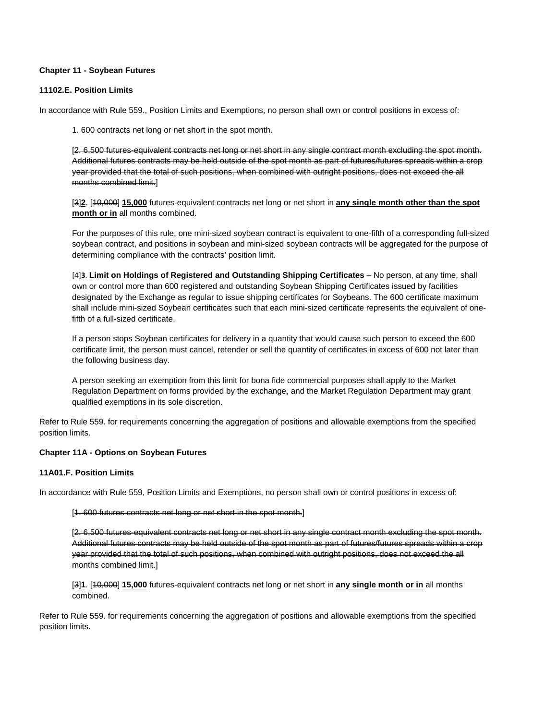## **Chapter 11 - Soybean Futures**

# **11102.E. Position Limits**

In accordance with Rule 559., Position Limits and Exemptions, no person shall own or control positions in excess of:

1. 600 contracts net long or net short in the spot month.

[2. 6,500 futures-equivalent contracts net long or net short in any single contract month excluding the spot month. Additional futures contracts may be held outside of the spot month as part of futures/futures spreads within a crop year provided that the total of such positions, when combined with outright positions, does not exceed the all months combined limit.]

[3]**2**. [10,000] **15,000** futures-equivalent contracts net long or net short in **any single month other than the spot month or in** all months combined.

For the purposes of this rule, one mini-sized soybean contract is equivalent to one-fifth of a corresponding full-sized soybean contract, and positions in soybean and mini-sized soybean contracts will be aggregated for the purpose of determining compliance with the contracts' position limit.

[4]**3**. Limit on Holdings of Registered and Outstanding Shipping Certificates - No person, at any time, shall own or control more than 600 registered and outstanding Soybean Shipping Certificates issued by facilities designated by the Exchange as regular to issue shipping certificates for Soybeans. The 600 certificate maximum shall include mini-sized Soybean certificates such that each mini-sized certificate represents the equivalent of onefifth of a full-sized certificate.

If a person stops Soybean certificates for delivery in a quantity that would cause such person to exceed the 600 certificate limit, the person must cancel, retender or sell the quantity of certificates in excess of 600 not later than the following business day.

A person seeking an exemption from this limit for bona fide commercial purposes shall apply to the Market Regulation Department on forms provided by the exchange, and the Market Regulation Department may grant qualified exemptions in its sole discretion.

Refer to Rule 559. for requirements concerning the aggregation of positions and allowable exemptions from the specified position limits.

## **Chapter 11A - Options on Soybean Futures**

## **11A01.F. Position Limits**

In accordance with Rule 559, Position Limits and Exemptions, no person shall own or control positions in excess of:

[1. 600 futures contracts net long or net short in the spot month.]

[2. 6,500 futures-equivalent contracts net long or net short in any single contract month excluding the spot month. Additional futures contracts may be held outside of the spot month as part of futures/futures spreads within a crop year provided that the total of such positions, when combined with outright positions, does not exceed the all months combined limit.]

[3]**1**. [10,000] **15,000** futures-equivalent contracts net long or net short in **any single month or in** all months combined.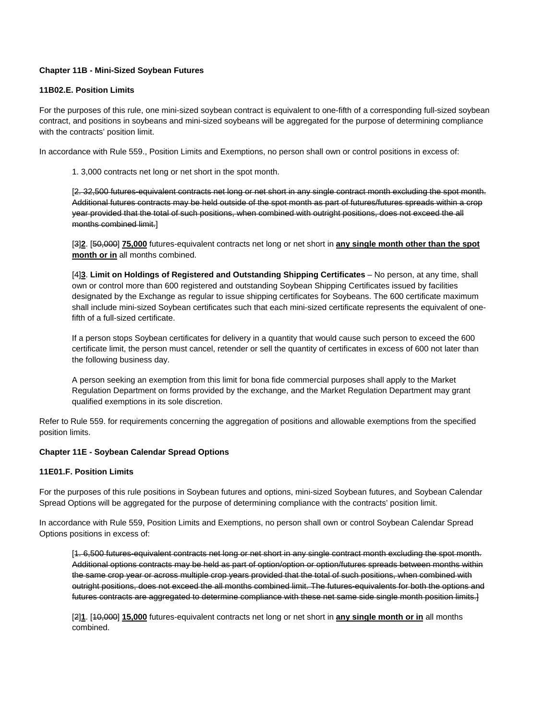# **Chapter 11B - Mini-Sized Soybean Futures**

# **11B02.E. Position Limits**

For the purposes of this rule, one mini-sized soybean contract is equivalent to one-fifth of a corresponding full-sized soybean contract, and positions in soybeans and mini-sized soybeans will be aggregated for the purpose of determining compliance with the contracts' position limit.

In accordance with Rule 559., Position Limits and Exemptions, no person shall own or control positions in excess of:

1. 3,000 contracts net long or net short in the spot month.

[2. 32,500 futures-equivalent contracts net long or net short in any single contract month excluding the spot month. Additional futures contracts may be held outside of the spot month as part of futures/futures spreads within a crop year provided that the total of such positions, when combined with outright positions, does not exceed the all months combined limit.]

[3]**2**. [50,000] **75,000** futures-equivalent contracts net long or net short in **any single month other than the spot month or in** all months combined.

[4]<sup>3</sup>. Limit on Holdings of Registered and Outstanding Shipping Certificates - No person, at any time, shall own or control more than 600 registered and outstanding Soybean Shipping Certificates issued by facilities designated by the Exchange as regular to issue shipping certificates for Soybeans. The 600 certificate maximum shall include mini-sized Soybean certificates such that each mini-sized certificate represents the equivalent of onefifth of a full-sized certificate.

If a person stops Soybean certificates for delivery in a quantity that would cause such person to exceed the 600 certificate limit, the person must cancel, retender or sell the quantity of certificates in excess of 600 not later than the following business day.

A person seeking an exemption from this limit for bona fide commercial purposes shall apply to the Market Regulation Department on forms provided by the exchange, and the Market Regulation Department may grant qualified exemptions in its sole discretion.

Refer to Rule 559. for requirements concerning the aggregation of positions and allowable exemptions from the specified position limits.

## **Chapter 11E - Soybean Calendar Spread Options**

# **11E01.F. Position Limits**

For the purposes of this rule positions in Soybean futures and options, mini-sized Soybean futures, and Soybean Calendar Spread Options will be aggregated for the purpose of determining compliance with the contracts' position limit.

In accordance with Rule 559, Position Limits and Exemptions, no person shall own or control Soybean Calendar Spread Options positions in excess of:

[1. 6,500 futures-equivalent contracts net long or net short in any single contract month excluding the spot month. Additional options contracts may be held as part of option/option or option/futures spreads between months within the same crop year or across multiple crop years provided that the total of such positions, when combined with outright positions, does not exceed the all months combined limit. The futures-equivalents for both the options and futures contracts are aggregated to determine compliance with these net same side single month position limits.]

[2]**1**. [10,000] **15,000** futures-equivalent contracts net long or net short in **any single month or in** all months combined.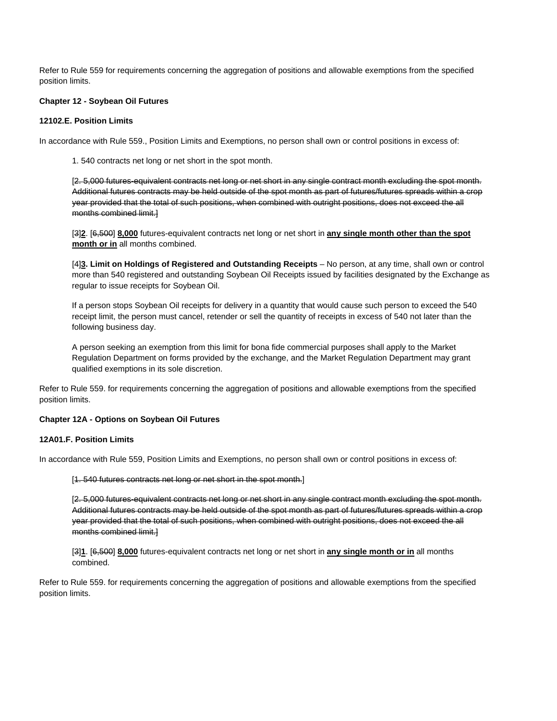Refer to Rule 559 for requirements concerning the aggregation of positions and allowable exemptions from the specified position limits.

#### **Chapter 12 - Soybean Oil Futures**

## **12102.E. Position Limits**

In accordance with Rule 559., Position Limits and Exemptions, no person shall own or control positions in excess of:

1. 540 contracts net long or net short in the spot month.

[2. 5,000 futures-equivalent contracts net long or net short in any single contract month excluding the spot month. Additional futures contracts may be held outside of the spot month as part of futures/futures spreads within a crop year provided that the total of such positions, when combined with outright positions, does not exceed the all months combined limit.]

[3]**2**. [6,500] **8,000** futures-equivalent contracts net long or net short in **any single month other than the spot month or in** all months combined.

[4]**3. Limit on Holdings of Registered and Outstanding Receipts** – No person, at any time, shall own or control more than 540 registered and outstanding Soybean Oil Receipts issued by facilities designated by the Exchange as regular to issue receipts for Soybean Oil.

If a person stops Soybean Oil receipts for delivery in a quantity that would cause such person to exceed the 540 receipt limit, the person must cancel, retender or sell the quantity of receipts in excess of 540 not later than the following business day.

A person seeking an exemption from this limit for bona fide commercial purposes shall apply to the Market Regulation Department on forms provided by the exchange, and the Market Regulation Department may grant qualified exemptions in its sole discretion.

Refer to Rule 559. for requirements concerning the aggregation of positions and allowable exemptions from the specified position limits.

#### **Chapter 12A - Options on Soybean Oil Futures**

#### **12A01.F. Position Limits**

In accordance with Rule 559, Position Limits and Exemptions, no person shall own or control positions in excess of:

[1. 540 futures contracts net long or net short in the spot month.]

[2. 5,000 futures-equivalent contracts net long or net short in any single contract month excluding the spot month. Additional futures contracts may be held outside of the spot month as part of futures/futures spreads within a crop year provided that the total of such positions, when combined with outright positions, does not exceed the all months combined limit.]

[3]**1**. [6,500] **8,000** futures-equivalent contracts net long or net short in **any single month or in** all months combined.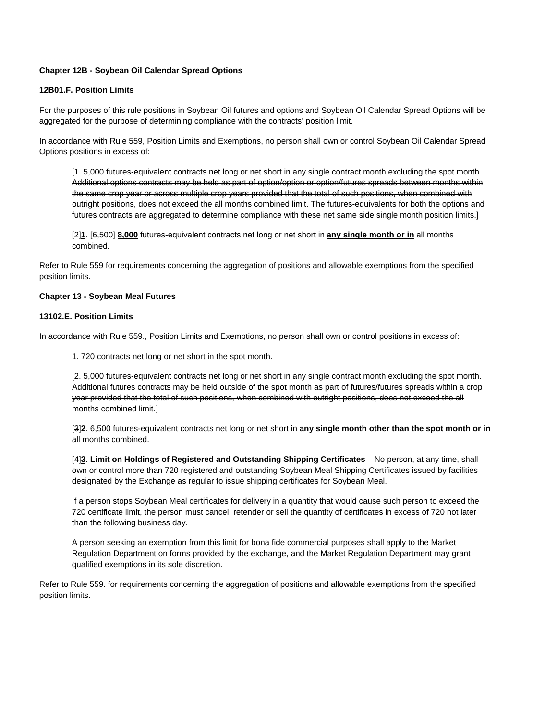# **Chapter 12B - Soybean Oil Calendar Spread Options**

# **12B01.F. Position Limits**

For the purposes of this rule positions in Soybean Oil futures and options and Soybean Oil Calendar Spread Options will be aggregated for the purpose of determining compliance with the contracts' position limit.

In accordance with Rule 559, Position Limits and Exemptions, no person shall own or control Soybean Oil Calendar Spread Options positions in excess of:

[1. 5,000 futures-equivalent contracts net long or net short in any single contract month excluding the spot month. Additional options contracts may be held as part of option/option or option/futures spreads between months within the same crop year or across multiple crop years provided that the total of such positions, when combined with outright positions, does not exceed the all months combined limit. The futures-equivalents for both the options and futures contracts are aggregated to determine compliance with these net same side single month position limits.]

[2]**1**. [6,500] **8,000** futures-equivalent contracts net long or net short in **any single month or in** all months combined.

Refer to Rule 559 for requirements concerning the aggregation of positions and allowable exemptions from the specified position limits.

#### **Chapter 13 - Soybean Meal Futures**

# **13102.E. Position Limits**

In accordance with Rule 559., Position Limits and Exemptions, no person shall own or control positions in excess of:

1. 720 contracts net long or net short in the spot month.

[2. 5,000 futures-equivalent contracts net long or net short in any single contract month excluding the spot month. Additional futures contracts may be held outside of the spot month as part of futures/futures spreads within a crop year provided that the total of such positions, when combined with outright positions, does not exceed the all months combined limit.]

[3]**2**. 6,500 futures-equivalent contracts net long or net short in **any single month other than the spot month or in** all months combined.

[4]**3**. Limit on Holdings of Registered and Outstanding Shipping Certificates – No person, at any time, shall own or control more than 720 registered and outstanding Soybean Meal Shipping Certificates issued by facilities designated by the Exchange as regular to issue shipping certificates for Soybean Meal.

If a person stops Soybean Meal certificates for delivery in a quantity that would cause such person to exceed the 720 certificate limit, the person must cancel, retender or sell the quantity of certificates in excess of 720 not later than the following business day.

A person seeking an exemption from this limit for bona fide commercial purposes shall apply to the Market Regulation Department on forms provided by the exchange, and the Market Regulation Department may grant qualified exemptions in its sole discretion.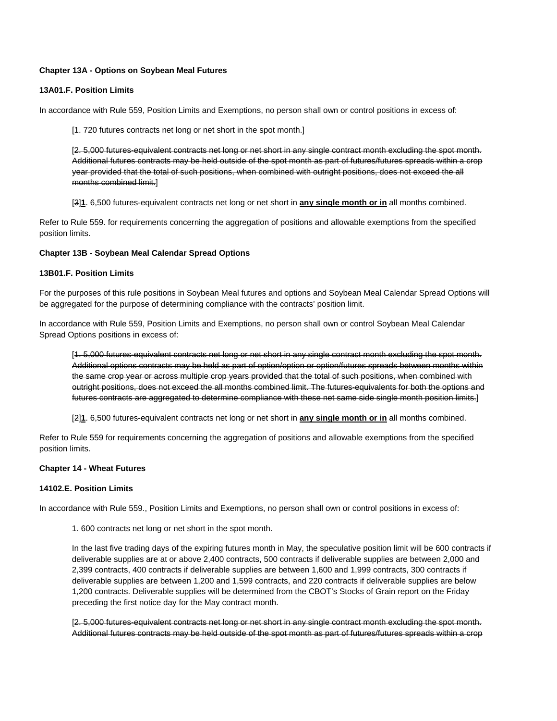# **Chapter 13A - Options on Soybean Meal Futures**

## **13A01.F. Position Limits**

In accordance with Rule 559, Position Limits and Exemptions, no person shall own or control positions in excess of:

[1. 720 futures contracts net long or net short in the spot month.]

[2. 5,000 futures-equivalent contracts net long or net short in any single contract month excluding the spot month. Additional futures contracts may be held outside of the spot month as part of futures/futures spreads within a crop year provided that the total of such positions, when combined with outright positions, does not exceed the all months combined limit.]

[3]**1**. 6,500 futures-equivalent contracts net long or net short in **any single month or in** all months combined.

Refer to Rule 559. for requirements concerning the aggregation of positions and allowable exemptions from the specified position limits.

## **Chapter 13B - Soybean Meal Calendar Spread Options**

#### **13B01.F. Position Limits**

For the purposes of this rule positions in Soybean Meal futures and options and Soybean Meal Calendar Spread Options will be aggregated for the purpose of determining compliance with the contracts' position limit.

In accordance with Rule 559, Position Limits and Exemptions, no person shall own or control Soybean Meal Calendar Spread Options positions in excess of:

[1. 5,000 futures-equivalent contracts net long or net short in any single contract month excluding the spot month. Additional options contracts may be held as part of option/option or option/futures spreads between months within the same crop year or across multiple crop years provided that the total of such positions, when combined with outright positions, does not exceed the all months combined limit. The futures-equivalents for both the options and futures contracts are aggregated to determine compliance with these net same side single month position limits.]

[2]**1**. 6,500 futures-equivalent contracts net long or net short in **any single month or in** all months combined.

Refer to Rule 559 for requirements concerning the aggregation of positions and allowable exemptions from the specified position limits.

## **Chapter 14 - Wheat Futures**

## **14102.E. Position Limits**

In accordance with Rule 559., Position Limits and Exemptions, no person shall own or control positions in excess of:

1. 600 contracts net long or net short in the spot month.

In the last five trading days of the expiring futures month in May, the speculative position limit will be 600 contracts if deliverable supplies are at or above 2,400 contracts, 500 contracts if deliverable supplies are between 2,000 and 2,399 contracts, 400 contracts if deliverable supplies are between 1,600 and 1,999 contracts, 300 contracts if deliverable supplies are between 1,200 and 1,599 contracts, and 220 contracts if deliverable supplies are below 1,200 contracts. Deliverable supplies will be determined from the CBOT's Stocks of Grain report on the Friday preceding the first notice day for the May contract month.

[2. 5,000 futures-equivalent contracts net long or net short in any single contract month excluding the spot month. Additional futures contracts may be held outside of the spot month as part of futures/futures spreads within a crop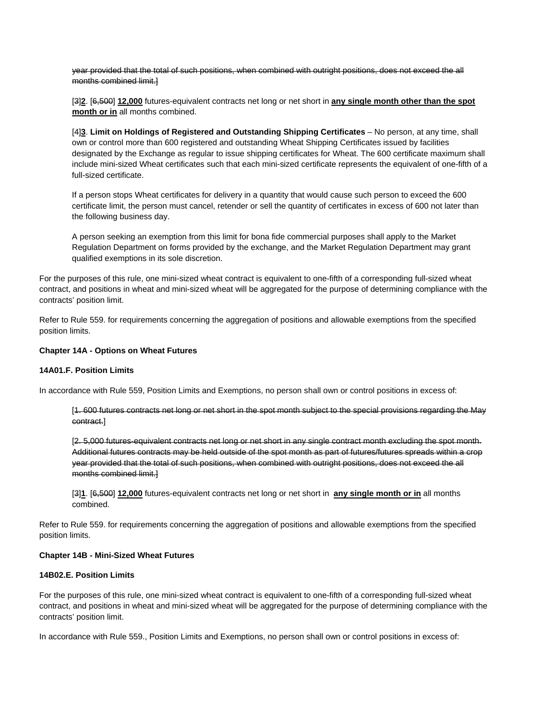year provided that the total of such positions, when combined with outright positions, does not exceed the all months combined limit.]

[3]**2**. [6,500] **12,000** futures-equivalent contracts net long or net short in **any single month other than the spot month or in** all months combined.

[4]**3**. Limit on Holdings of Registered and Outstanding Shipping Certificates – No person, at any time, shall own or control more than 600 registered and outstanding Wheat Shipping Certificates issued by facilities designated by the Exchange as regular to issue shipping certificates for Wheat. The 600 certificate maximum shall include mini-sized Wheat certificates such that each mini-sized certificate represents the equivalent of one-fifth of a full-sized certificate.

If a person stops Wheat certificates for delivery in a quantity that would cause such person to exceed the 600 certificate limit, the person must cancel, retender or sell the quantity of certificates in excess of 600 not later than the following business day.

A person seeking an exemption from this limit for bona fide commercial purposes shall apply to the Market Regulation Department on forms provided by the exchange, and the Market Regulation Department may grant qualified exemptions in its sole discretion.

For the purposes of this rule, one mini-sized wheat contract is equivalent to one-fifth of a corresponding full-sized wheat contract, and positions in wheat and mini-sized wheat will be aggregated for the purpose of determining compliance with the contracts' position limit.

Refer to Rule 559. for requirements concerning the aggregation of positions and allowable exemptions from the specified position limits.

## **Chapter 14A - Options on Wheat Futures**

# **14A01.F. Position Limits**

In accordance with Rule 559, Position Limits and Exemptions, no person shall own or control positions in excess of:

[1. 600 futures contracts net long or net short in the spot month subject to the special provisions regarding the May contract.]

[2. 5,000 futures-equivalent contracts net long or net short in any single contract month excluding the spot month. Additional futures contracts may be held outside of the spot month as part of futures/futures spreads within a crop year provided that the total of such positions, when combined with outright positions, does not exceed the all months combined limit.]

[3]**1**. [6,500] **12,000** futures-equivalent contracts net long or net short in **any single month or in** all months combined.

Refer to Rule 559. for requirements concerning the aggregation of positions and allowable exemptions from the specified position limits.

#### **Chapter 14B - Mini-Sized Wheat Futures**

#### **14B02.E. Position Limits**

For the purposes of this rule, one mini-sized wheat contract is equivalent to one-fifth of a corresponding full-sized wheat contract, and positions in wheat and mini-sized wheat will be aggregated for the purpose of determining compliance with the contracts' position limit.

In accordance with Rule 559., Position Limits and Exemptions, no person shall own or control positions in excess of: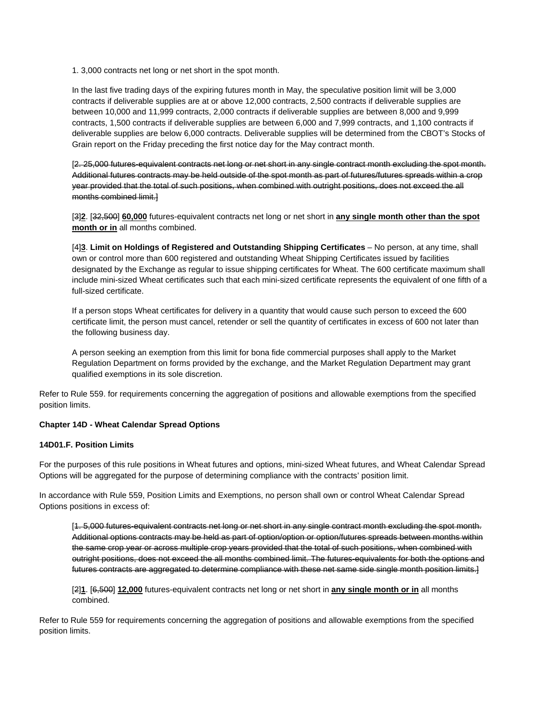1. 3,000 contracts net long or net short in the spot month.

In the last five trading days of the expiring futures month in May, the speculative position limit will be 3,000 contracts if deliverable supplies are at or above 12,000 contracts, 2,500 contracts if deliverable supplies are between 10,000 and 11,999 contracts, 2,000 contracts if deliverable supplies are between 8,000 and 9,999 contracts, 1,500 contracts if deliverable supplies are between 6,000 and 7,999 contracts, and 1,100 contracts if deliverable supplies are below 6,000 contracts. Deliverable supplies will be determined from the CBOT's Stocks of Grain report on the Friday preceding the first notice day for the May contract month.

[2. 25,000 futures-equivalent contracts net long or net short in any single contract month excluding the spot month. Additional futures contracts may be held outside of the spot month as part of futures/futures spreads within a crop year provided that the total of such positions, when combined with outright positions, does not exceed the all months combined limit.]

[3]**2**. [32,500] **60,000** futures-equivalent contracts net long or net short in **any single month other than the spot month or in** all months combined.

[4]**3**. Limit on Holdings of Registered and Outstanding Shipping Certificates – No person, at any time, shall own or control more than 600 registered and outstanding Wheat Shipping Certificates issued by facilities designated by the Exchange as regular to issue shipping certificates for Wheat. The 600 certificate maximum shall include mini-sized Wheat certificates such that each mini-sized certificate represents the equivalent of one fifth of a full-sized certificate.

If a person stops Wheat certificates for delivery in a quantity that would cause such person to exceed the 600 certificate limit, the person must cancel, retender or sell the quantity of certificates in excess of 600 not later than the following business day.

A person seeking an exemption from this limit for bona fide commercial purposes shall apply to the Market Regulation Department on forms provided by the exchange, and the Market Regulation Department may grant qualified exemptions in its sole discretion.

Refer to Rule 559. for requirements concerning the aggregation of positions and allowable exemptions from the specified position limits.

## **Chapter 14D - Wheat Calendar Spread Options**

# **14D01.F. Position Limits**

For the purposes of this rule positions in Wheat futures and options, mini-sized Wheat futures, and Wheat Calendar Spread Options will be aggregated for the purpose of determining compliance with the contracts' position limit.

In accordance with Rule 559, Position Limits and Exemptions, no person shall own or control Wheat Calendar Spread Options positions in excess of:

[1. 5,000 futures-equivalent contracts net long or net short in any single contract month excluding the spot month. Additional options contracts may be held as part of option/option or option/futures spreads between months within the same crop year or across multiple crop years provided that the total of such positions, when combined with outright positions, does not exceed the all months combined limit. The futures-equivalents for both the options and futures contracts are aggregated to determine compliance with these net same side single month position limits.]

[2]**1**. [6,500] **12,000** futures-equivalent contracts net long or net short in **any single month or in** all months combined.